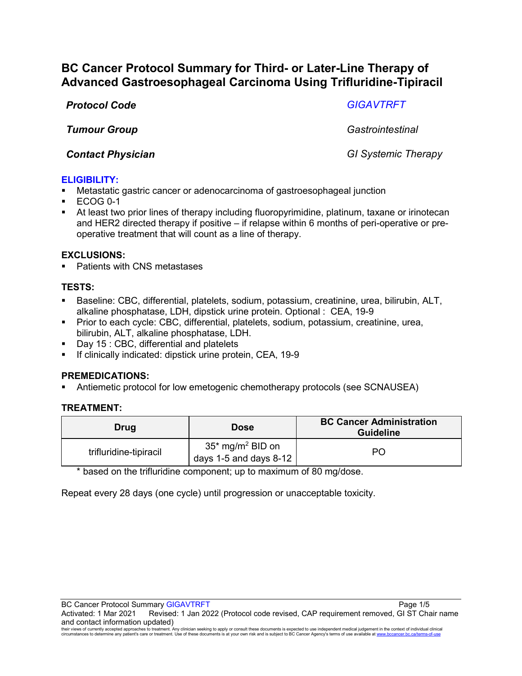# **BC Cancer Protocol Summary for Third- or Later-Line Therapy of Advanced Gastroesophageal Carcinoma Using Trifluridine-Tipiracil**

*Protocol Code GIGAVTRFT*

*Tumour Group Gastrointestinal*

*Contact Physician GI Systemic Therapy*

# **ELIGIBILITY:**

- Metastatic gastric cancer or adenocarcinoma of gastroesophageal junction
- ECOG 0-1
- At least two prior lines of therapy including fluoropyrimidine, platinum, taxane or irinotecan and HER2 directed therapy if positive – if relapse within 6 months of peri-operative or preoperative treatment that will count as a line of therapy.

# **EXCLUSIONS:**

■ Patients with CNS metastases

# **TESTS:**

- Baseline: CBC, differential, platelets, sodium, potassium, creatinine, urea, bilirubin, ALT, alkaline phosphatase, LDH, dipstick urine protein. Optional : CEA, 19-9
- Prior to each cycle: CBC, differential, platelets, sodium, potassium, creatinine, urea, bilirubin, ALT, alkaline phosphatase, LDH.
- Day 15 : CBC, differential and platelets
- If clinically indicated: dipstick urine protein, CEA, 19-9

# **PREMEDICATIONS:**

Antiemetic protocol for low emetogenic chemotherapy protocols (see SCNAUSEA)

# **TREATMENT:**

| Drug                   | <b>Dose</b>                                              | <b>BC Cancer Administration</b><br><b>Guideline</b> |
|------------------------|----------------------------------------------------------|-----------------------------------------------------|
| trifluridine-tipiracil | $35*$ mg/m <sup>2</sup> BID on<br>days 1-5 and days 8-12 | PO                                                  |

\* based on the trifluridine component; up to maximum of 80 mg/dose.

Repeat every 28 days (one cycle) until progression or unacceptable toxicity.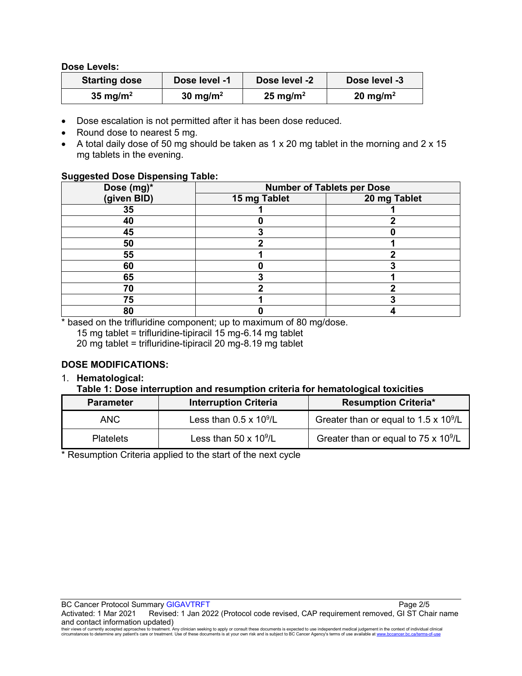#### **Dose Levels:**

| <b>Starting dose</b> | Dose level -1        | Dose level -2        | Dose level -3        |
|----------------------|----------------------|----------------------|----------------------|
| 35 mg/m <sup>2</sup> | 30 mg/m <sup>2</sup> | 25 mg/m <sup>2</sup> | 20 mg/m <sup>2</sup> |

- Dose escalation is not permitted after it has been dose reduced.
- Round dose to nearest 5 mg.
- A total daily dose of 50 mg should be taken as 1 x 20 mg tablet in the morning and 2 x 15 mg tablets in the evening.

#### **Suggested Dose Dispensing Table:**

| . .<br>. .<br>Dose (mg)*<br>(given BID) | <b>Number of Tablets per Dose</b> |              |  |
|-----------------------------------------|-----------------------------------|--------------|--|
|                                         | 15 mg Tablet                      | 20 mg Tablet |  |
| 35                                      |                                   |              |  |
| 40                                      |                                   |              |  |
| 45                                      |                                   |              |  |
| 50                                      |                                   |              |  |
| 55                                      |                                   |              |  |
| 60                                      |                                   |              |  |
| 65                                      |                                   |              |  |
| 70                                      |                                   |              |  |
| 75                                      |                                   |              |  |
| 80                                      |                                   |              |  |

\* based on the trifluridine component; up to maximum of 80 mg/dose.

15 mg tablet = trifluridine-tipiracil 15 mg-6.14 mg tablet

20 mg tablet = trifluridine-tipiracil 20 mg-8.19 mg tablet

# **DOSE MODIFICATIONS:**

#### 1. **Hematological:**

### **Table 1: Dose interruption and resumption criteria for hematological toxicities**

| <b>Parameter</b> | <b>Interruption Criteria</b>   | <b>Resumption Criteria*</b>              |
|------------------|--------------------------------|------------------------------------------|
| ANC.             | Less than $0.5 \times 10^9$ /L | Greater than or equal to 1.5 x $10^9$ /L |
| <b>Platelets</b> | Less than 50 x $10^9$ /L       | Greater than or equal to 75 x $10^9$ /L  |

\* Resumption Criteria applied to the start of the next cycle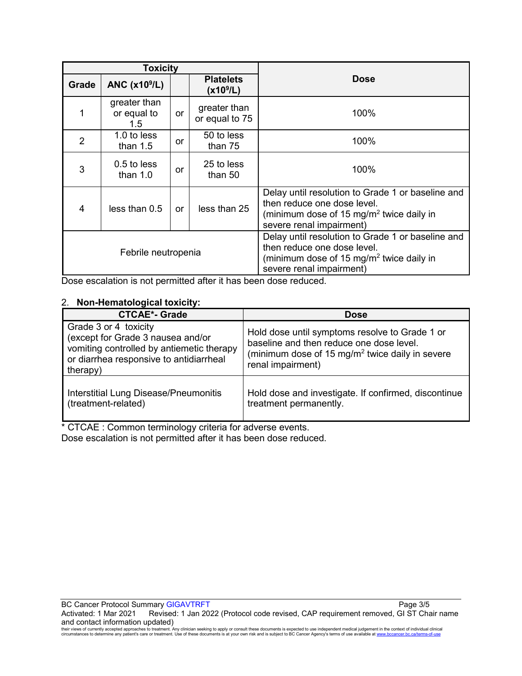| <b>Toxicity</b>     |                                              |           |                                           |                                                                                                                                                                      |
|---------------------|----------------------------------------------|-----------|-------------------------------------------|----------------------------------------------------------------------------------------------------------------------------------------------------------------------|
| Grade               | ANC $(x109/L)$                               |           | <b>Platelets</b><br>(x10 <sup>9</sup> /L) | <b>Dose</b>                                                                                                                                                          |
|                     | greater than<br>or equal to<br>$1.5^{\circ}$ | or        | greater than<br>or equal to 75            | 100%                                                                                                                                                                 |
| $\overline{2}$      | 1.0 to less<br>than $1.5$                    | or        | 50 to less<br>than 75                     | 100%                                                                                                                                                                 |
| 3                   | $0.5$ to less<br>than $1.0$                  | or        | 25 to less<br>than 50                     | 100%                                                                                                                                                                 |
| 4                   | less than 0.5                                | <b>or</b> | less than 25                              | Delay until resolution to Grade 1 or baseline and<br>then reduce one dose level.<br>(minimum dose of 15 mg/m <sup>2</sup> twice daily in<br>severe renal impairment) |
| Febrile neutropenia |                                              |           |                                           | Delay until resolution to Grade 1 or baseline and<br>then reduce one dose level.<br>(minimum dose of 15 mg/m <sup>2</sup> twice daily in<br>severe renal impairment) |

Dose escalation is not permitted after it has been dose reduced.

#### 2. **Non-Hematological toxicity:**

| <b>CTCAE*- Grade</b>                                                                                                                                           | <b>Dose</b>                                                                                                                                                                    |
|----------------------------------------------------------------------------------------------------------------------------------------------------------------|--------------------------------------------------------------------------------------------------------------------------------------------------------------------------------|
| Grade 3 or 4 toxicity<br>(except for Grade 3 nausea and/or<br>vomiting controlled by antiemetic therapy<br>or diarrhea responsive to antidiarrheal<br>therapy) | Hold dose until symptoms resolve to Grade 1 or<br>baseline and then reduce one dose level.<br>(minimum dose of 15 mg/m <sup>2</sup> twice daily in severe<br>renal impairment) |
| <b>Interstitial Lung Disease/Pneumonitis</b><br>(treatment-related)                                                                                            | Hold dose and investigate. If confirmed, discontinue<br>treatment permanently.                                                                                                 |

\* CTCAE : Common terminology criteria for adverse events. Dose escalation is not permitted after it has been dose reduced.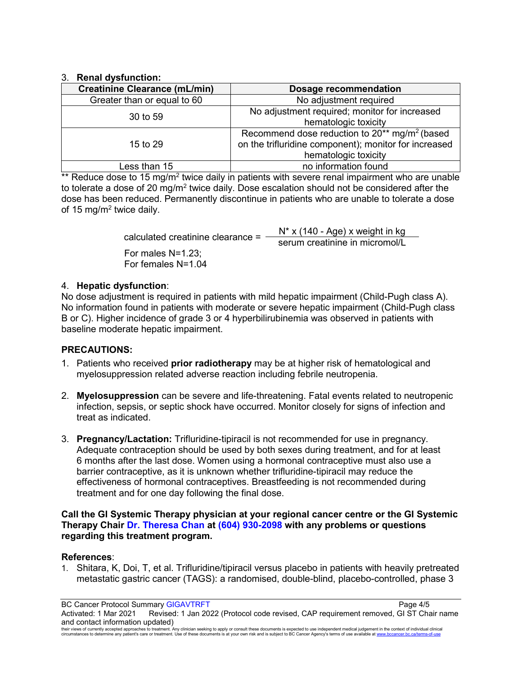### 3. **Renal dysfunction:**

| <b>Creatinine Clearance (mL/min)</b> | Dosage recommendation                                                                                                                           |  |
|--------------------------------------|-------------------------------------------------------------------------------------------------------------------------------------------------|--|
| Greater than or equal to 60          | No adjustment required                                                                                                                          |  |
| 30 to 59                             | No adjustment required; monitor for increased<br>hematologic toxicity                                                                           |  |
| 15 to 29                             | Recommend dose reduction to $20^{**}$ mg/m <sup>2</sup> (based<br>on the trifluridine component); monitor for increased<br>hematologic toxicity |  |
| Less than 15                         | no information found                                                                                                                            |  |

 $*$  Reduce dose to 15 mg/m<sup>2</sup> twice daily in patients with severe renal impairment who are unable to tolerate a dose of 20 mg/m<sup>2</sup> twice daily. Dose escalation should not be considered after the dose has been reduced. Permanently discontinue in patients who are unable to tolerate a dose of 15 mg/m<sup>2</sup> twice daily.

| N* x (140 - Age) x weight in kg |
|---------------------------------|
| serum creatinine in micromol/L  |
|                                 |
|                                 |
|                                 |

### 4. **Hepatic dysfunction**:

No dose adjustment is required in patients with mild hepatic impairment (Child-Pugh class A). No information found in patients with moderate or severe hepatic impairment (Child-Pugh class B or C). Higher incidence of grade 3 or 4 hyperbilirubinemia was observed in patients with baseline moderate hepatic impairment.

# **PRECAUTIONS:**

- 1. Patients who received **prior radiotherapy** may be at higher risk of hematological and myelosuppression related adverse reaction including febrile neutropenia.
- 2. **Myelosuppression** can be severe and life-threatening. Fatal events related to neutropenic infection, sepsis, or septic shock have occurred. Monitor closely for signs of infection and treat as indicated.
- 3. **Pregnancy/Lactation:** Trifluridine-tipiracil is not recommended for use in pregnancy. Adequate contraception should be used by both sexes during treatment, and for at least 6 months after the last dose. Women using a hormonal contraceptive must also use a barrier contraceptive, as it is unknown whether trifluridine-tipiracil may reduce the effectiveness of hormonal contraceptives. Breastfeeding is not recommended during treatment and for one day following the final dose.

#### **Call the GI Systemic Therapy physician at your regional cancer centre or the GI Systemic Therapy Chair Dr. Theresa Chan at (604) 930-2098 with any problems or questions regarding this treatment program.**

# **References**:

1. Shitara, K, Doi, T, et al. Trifluridine/tipiracil versus placebo in patients with heavily pretreated metastatic gastric cancer (TAGS): a randomised, double-blind, placebo-controlled, phase 3

BC Cancer Protocol Summary GIGAVTRFT **Page 4/5** Activated: 1 Mar 2021 Revised: 1 Jan 2022 (Protocol code revised, CAP requirement removed, GI ST Chair name and contact information updated)